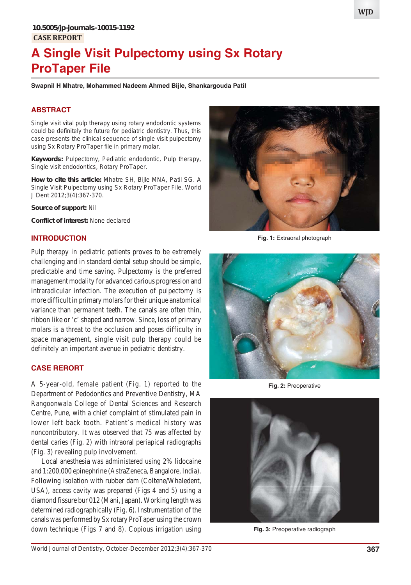# **A Single Visit Pulpectomy using Sx Rotary ProTaper File**

**Swapnil H Mhatre, Mohammed Nadeem Ahmed Bijle, Shankargouda Patil**

### **ABSTRACT**

Single visit vital pulp therapy using rotary endodontic systems could be definitely the future for pediatric dentistry. Thus, this case presents the clinical sequence of single visit pulpectomy using Sx Rotary ProTaper file in primary molar.

**Keywords:** Pulpectomy, Pediatric endodontic, Pulp therapy, Single visit endodontics, Rotary ProTaper.

**How to cite this article:** Mhatre SH, Bijle MNA, Patil SG. A Single Visit Pulpectomy using Sx Rotary ProTaper File. World J Dent 2012;3(4):367-370.

**Source of support:** Nil

**Conflict of interest:** None declared

#### **INTRODUCTION**

Pulp therapy in pediatric patients proves to be extremely challenging and in standard dental setup should be simple, predictable and time saving. Pulpectomy is the preferred management modality for advanced carious progression and intraradicular infection. The execution of pulpectomy is more difficult in primary molars for their unique anatomical variance than permanent teeth. The canals are often thin, ribbon like or 'c' shaped and narrow. Since, loss of primary molars is a threat to the occlusion and poses difficulty in space management, single visit pulp therapy could be definitely an important avenue in pediatric dentistry.

#### **CASE RERORT**

A 5-year-old, female patient (Fig. 1) reported to the Department of Pedodontics and Preventive Dentistry, MA Rangoonwala College of Dental Sciences and Research Centre, Pune, with a chief complaint of stimulated pain in lower left back tooth. Patient's medical history was noncontributory. It was observed that 75 was affected by dental caries (Fig. 2) with intraoral periapical radiographs (Fig. 3) revealing pulp involvement.

Local anesthesia was administered using 2% lidocaine and 1:200,000 epinephrine (AstraZeneca, Bangalore, India). Following isolation with rubber dam (Coltene/Whaledent, USA), access cavity was prepared (Figs 4 and 5) using a diamond fissure bur 012 (Mani, Japan). Working length was determined radiographically (Fig. 6). Instrumentation of the canals was performed by Sx rotary ProTaper using the crown down technique (Figs 7 and 8). Copious irrigation using



**Fig. 1:** Extraoral photograph



**Fig. 2:** Preoperative



**Fig. 3:** Preoperative radiograph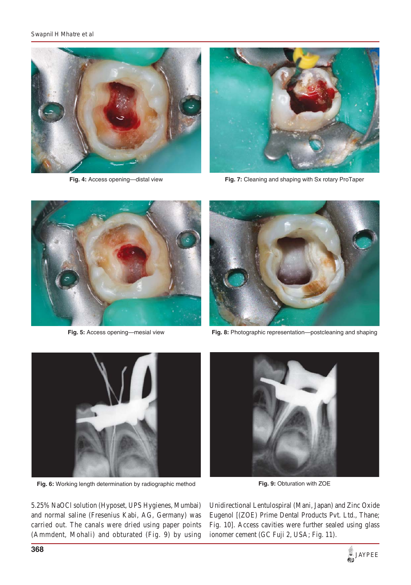

**Fig. 4:** Access opening—distal view



**Fig. 7:** Cleaning and shaping with Sx rotary ProTaper



**Fig. 5:** Access opening—mesial view



**Fig. 8:** Photographic representation—postcleaning and shaping



**Fig. 6:** Working length determination by radiographic method



**Fig. 9:** Obturation with ZOE

5.25% NaOCl solution (Hyposet, UPS Hygienes, Mumbai) and normal saline (Fresenius Kabi, AG, Germany) was carried out. The canals were dried using paper points (Ammdent, Mohali) and obturated (Fig. 9) by using

Unidirectional Lentulospiral (Mani, Japan) and Zinc Oxide Eugenol [(ZOE) Prime Dental Products Pvt. Ltd., Thane; Fig. 10]. Access cavities were further sealed using glass ionomer cement (GC Fuji 2, USA; Fig. 11).

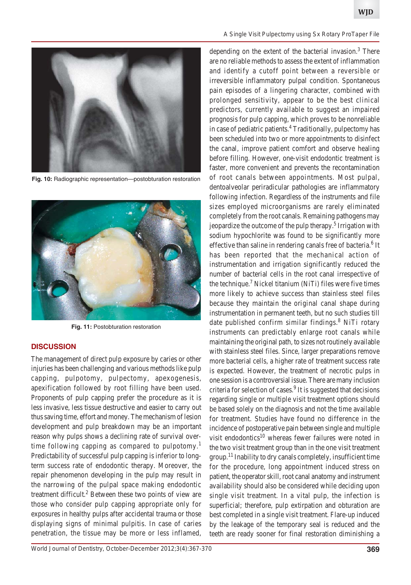

**Fig. 10:** Radiographic representation—postobturation restoration



**Fig. 11:** Postobturation restoration

#### **DISCUSSION**

The management of direct pulp exposure by caries or other injuries has been challenging and various methods like pulp capping, pulpotomy, pulpectomy, apexogenesis, apexification followed by root filling have been used. Proponents of pulp capping prefer the procedure as it is less invasive, less tissue destructive and easier to carry out thus saving time, effort and money. The mechanism of lesion development and pulp breakdown may be an important reason why pulps shows a declining rate of survival overtime following capping as compared to pulpotomy.<sup>1</sup> Predictability of successful pulp capping is inferior to longterm success rate of endodontic therapy. Moreover, the repair phenomenon developing in the pulp may result in the narrowing of the pulpal space making endodontic treatment difficult.<sup>2</sup> Between these two points of view are those who consider pulp capping appropriate only for exposures in healthy pulps after accidental trauma or those displaying signs of minimal pulpitis. In case of caries penetration, the tissue may be more or less inflamed,

#### *A Single Visit Pulpectomy using Sx Rotary ProTaper File*

depending on the extent of the bacterial invasion.<sup>3</sup> There are no reliable methods to assess the extent of inflammation and identify a cutoff point between a reversible or irreversible inflammatory pulpal condition. Spontaneous pain episodes of a lingering character, combined with prolonged sensitivity, appear to be the best clinical predictors, currently available to suggest an impaired prognosis for pulp capping, which proves to be nonreliable in case of pediatric patients.<sup>4</sup> Traditionally, pulpectomy has been scheduled into two or more appointments to disinfect the canal, improve patient comfort and observe healing before filling. However, one-visit endodontic treatment is faster, more convenient and prevents the recontamination of root canals between appointments. Most pulpal, dentoalveolar periradicular pathologies are inflammatory following infection. Regardless of the instruments and file sizes employed microorganisms are rarely eliminated completely from the root canals. Remaining pathogens may jeopardize the outcome of the pulp therapy.<sup>5</sup> Irrigation with sodium hypochlorite was found to be significantly more effective than saline in rendering canals free of bacteria.<sup>6</sup> It has been reported that the mechanical action of instrumentation and irrigation significantly reduced the number of bacterial cells in the root canal irrespective of the technique.<sup>7</sup> Nickel titanium (NiTi) files were five times more likely to achieve success than stainless steel files because they maintain the original canal shape during instrumentation in permanent teeth, but no such studies till date published confirm similar findings.<sup>8</sup> NiTi rotary instruments can predictably enlarge root canals while maintaining the original path, to sizes not routinely available with stainless steel files. Since, larger preparations remove more bacterial cells, a higher rate of treatment success rate is expected. However, the treatment of necrotic pulps in one session is a controversial issue. There are many inclusion criteria for selection of cases.<sup>9</sup> It is suggested that decisions regarding single or multiple visit treatment options should be based solely on the diagnosis and not the time available for treatment. Studies have found no difference in the incidence of postoperative pain between single and multiple visit endodontics $10$  whereas fewer failures were noted in the two visit treatment group than in the one visit treatment  $\gamma$ group.<sup>11</sup> Inability to dry canals completely, insufficient time for the procedure, long appointment induced stress on patient, the operator skill, root canal anatomy and instrument availability should also be considered while deciding upon single visit treatment. In a vital pulp, the infection is superficial; therefore, pulp extirpation and obturation are best completed in a single visit treatment. Flare-up induced by the leakage of the temporary seal is reduced and the teeth are ready sooner for final restoration diminishing a